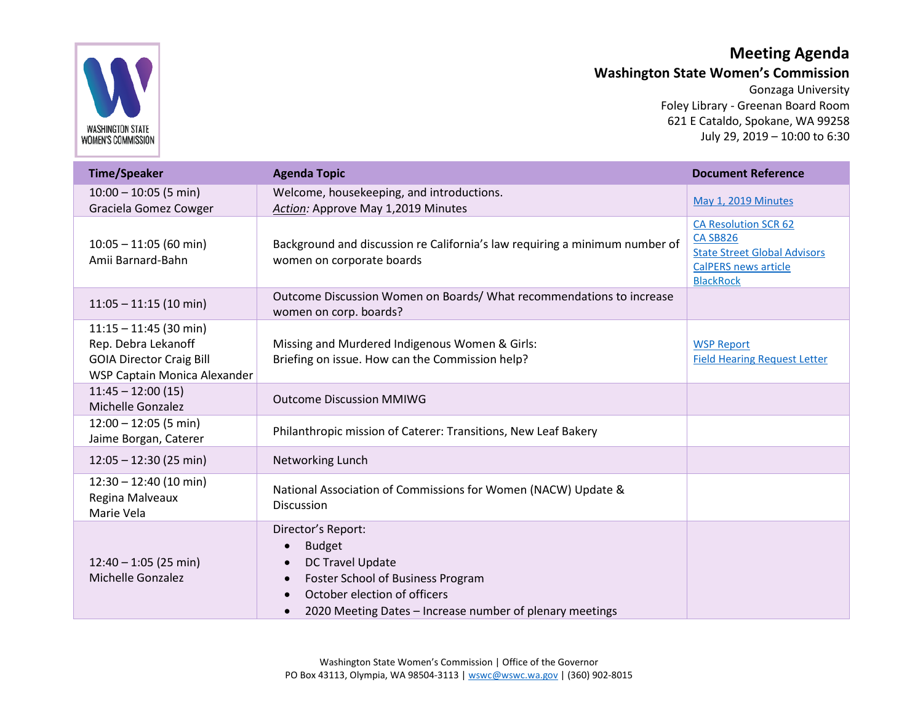

## **Meeting Agenda**

**Washington State Women's Commission**

Gonzaga University Foley Library - Greenan Board Room 621 E Cataldo, Spokane, WA 99258 July 29, 2019 – 10:00 to 6:30

| <b>Time/Speaker</b>                                                                                                | <b>Agenda Topic</b>                                                                                                                                                                             | <b>Document Reference</b>                                                                                                                |
|--------------------------------------------------------------------------------------------------------------------|-------------------------------------------------------------------------------------------------------------------------------------------------------------------------------------------------|------------------------------------------------------------------------------------------------------------------------------------------|
| $10:00 - 10:05$ (5 min)<br>Graciela Gomez Cowger                                                                   | Welcome, housekeeping, and introductions.<br>Action: Approve May 1,2019 Minutes                                                                                                                 | May 1, 2019 Minutes                                                                                                                      |
| $10:05 - 11:05$ (60 min)<br>Amii Barnard-Bahn                                                                      | Background and discussion re California's law requiring a minimum number of<br>women on corporate boards                                                                                        | <b>CA Resolution SCR 62</b><br><b>CA SB826</b><br><b>State Street Global Advisors</b><br><b>CalPERS news article</b><br><b>BlackRock</b> |
| $11:05 - 11:15$ (10 min)                                                                                           | Outcome Discussion Women on Boards/ What recommendations to increase<br>women on corp. boards?                                                                                                  |                                                                                                                                          |
| $11:15 - 11:45$ (30 min)<br>Rep. Debra Lekanoff<br><b>GOIA Director Craig Bill</b><br>WSP Captain Monica Alexander | Missing and Murdered Indigenous Women & Girls:<br>Briefing on issue. How can the Commission help?                                                                                               | <b>WSP Report</b><br><b>Field Hearing Request Letter</b>                                                                                 |
| $11:45 - 12:00(15)$<br>Michelle Gonzalez                                                                           | <b>Outcome Discussion MMIWG</b>                                                                                                                                                                 |                                                                                                                                          |
| $12:00 - 12:05$ (5 min)<br>Jaime Borgan, Caterer                                                                   | Philanthropic mission of Caterer: Transitions, New Leaf Bakery                                                                                                                                  |                                                                                                                                          |
| $12:05 - 12:30(25 min)$                                                                                            | Networking Lunch                                                                                                                                                                                |                                                                                                                                          |
| $12:30 - 12:40$ (10 min)<br>Regina Malveaux<br>Marie Vela                                                          | National Association of Commissions for Women (NACW) Update &<br><b>Discussion</b>                                                                                                              |                                                                                                                                          |
| $12:40 - 1:05$ (25 min)<br><b>Michelle Gonzalez</b>                                                                | Director's Report:<br><b>Budget</b><br><b>DC Travel Update</b><br>Foster School of Business Program<br>October election of officers<br>2020 Meeting Dates - Increase number of plenary meetings |                                                                                                                                          |